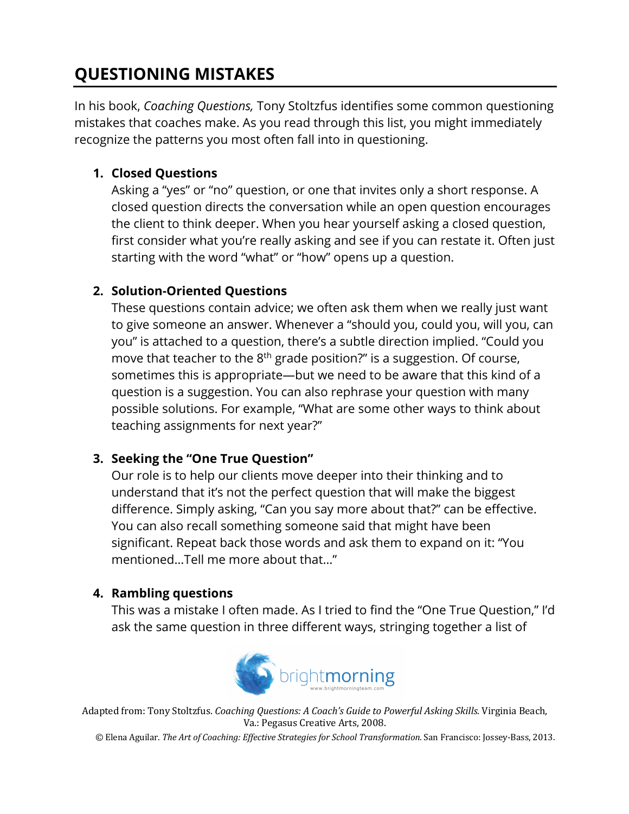# **QUESTIONING MISTAKES**

In his book, *Coaching Questions,* Tony Stoltzfus identifies some common questioning mistakes that coaches make. As you read through this list, you might immediately recognize the patterns you most often fall into in questioning.

# **1. Closed Questions**

Asking a "yes" or "no" question, or one that invites only a short response. A closed question directs the conversation while an open question encourages the client to think deeper. When you hear yourself asking a closed question, first consider what you're really asking and see if you can restate it. Often just starting with the word "what" or "how" opens up a question.

## **2. Solution-Oriented Questions**

These questions contain advice; we often ask them when we really just want to give someone an answer. Whenever a "should you, could you, will you, can you" is attached to a question, there's a subtle direction implied. "Could you move that teacher to the 8<sup>th</sup> grade position?" is a suggestion. Of course, sometimes this is appropriate—but we need to be aware that this kind of a question is a suggestion. You can also rephrase your question with many possible solutions. For example, "What are some other ways to think about teaching assignments for next year?"

## **3. Seeking the "One True Question"**

Our role is to help our clients move deeper into their thinking and to understand that it's not the perfect question that will make the biggest difference. Simply asking, "Can you say more about that?" can be effective. You can also recall something someone said that might have been significant. Repeat back those words and ask them to expand on it: "You mentioned…Tell me more about that…"

## **4. Rambling questions**

This was a mistake I often made. As I tried to find the "One True Question," I'd ask the same question in three different ways, stringing together a list of



Adapted from: Tony Stoltzfus. *Coaching Questions: A Coach's Guide to Powerful Asking Skills.* Virginia Beach, Va.: Pegasus Creative Arts, 2008.

© Elena Aguilar. The Art of Coaching: Effective Strategies for School Transformation. San Francisco: Jossey-Bass, 2013.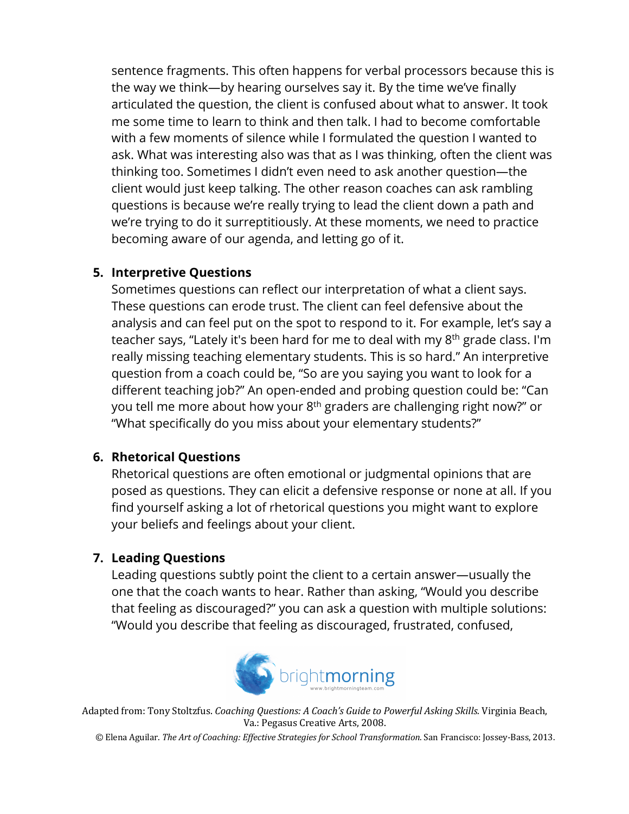sentence fragments. This often happens for verbal processors because this is the way we think—by hearing ourselves say it. By the time we've finally articulated the question, the client is confused about what to answer. It took me some time to learn to think and then talk. I had to become comfortable with a few moments of silence while I formulated the question I wanted to ask. What was interesting also was that as I was thinking, often the client was thinking too. Sometimes I didn't even need to ask another question—the client would just keep talking. The other reason coaches can ask rambling questions is because we're really trying to lead the client down a path and we're trying to do it surreptitiously. At these moments, we need to practice becoming aware of our agenda, and letting go of it.

#### **5. Interpretive Questions**

Sometimes questions can reflect our interpretation of what a client says. These questions can erode trust. The client can feel defensive about the analysis and can feel put on the spot to respond to it. For example, let's say a teacher says, "Lately it's been hard for me to deal with my 8<sup>th</sup> grade class. I'm really missing teaching elementary students. This is so hard." An interpretive question from a coach could be, "So are you saying you want to look for a different teaching job?" An open-ended and probing question could be: "Can you tell me more about how your 8<sup>th</sup> graders are challenging right now?" or "What specifically do you miss about your elementary students?"

## **6. Rhetorical Questions**

Rhetorical questions are often emotional or judgmental opinions that are posed as questions. They can elicit a defensive response or none at all. If you find yourself asking a lot of rhetorical questions you might want to explore your beliefs and feelings about your client.

# **7. Leading Questions**

Leading questions subtly point the client to a certain answer—usually the one that the coach wants to hear. Rather than asking, "Would you describe that feeling as discouraged?" you can ask a question with multiple solutions: "Would you describe that feeling as discouraged, frustrated, confused,



Adapted from: Tony Stoltzfus. *Coaching Questions: A Coach's Guide to Powerful Asking Skills.* Virginia Beach, Va.: Pegasus Creative Arts, 2008.

© Elena Aguilar. The Art of Coaching: Effective Strategies for School Transformation. San Francisco: Jossey-Bass, 2013.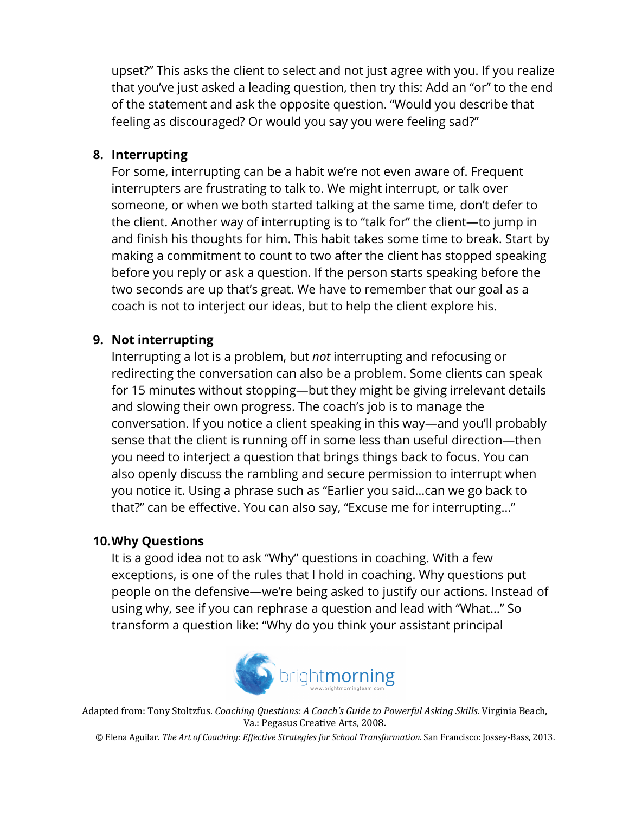upset?" This asks the client to select and not just agree with you. If you realize that you've just asked a leading question, then try this: Add an "or" to the end of the statement and ask the opposite question. "Would you describe that feeling as discouraged? Or would you say you were feeling sad?"

#### **8. Interrupting**

For some, interrupting can be a habit we're not even aware of. Frequent interrupters are frustrating to talk to. We might interrupt, or talk over someone, or when we both started talking at the same time, don't defer to the client. Another way of interrupting is to "talk for" the client—to jump in and finish his thoughts for him. This habit takes some time to break. Start by making a commitment to count to two after the client has stopped speaking before you reply or ask a question. If the person starts speaking before the two seconds are up that's great. We have to remember that our goal as a coach is not to interject our ideas, but to help the client explore his.

#### **9. Not interrupting**

Interrupting a lot is a problem, but *not* interrupting and refocusing or redirecting the conversation can also be a problem. Some clients can speak for 15 minutes without stopping—but they might be giving irrelevant details and slowing their own progress. The coach's job is to manage the conversation. If you notice a client speaking in this way—and you'll probably sense that the client is running off in some less than useful direction—then you need to interject a question that brings things back to focus. You can also openly discuss the rambling and secure permission to interrupt when you notice it. Using a phrase such as "Earlier you said…can we go back to that?" can be effective. You can also say, "Excuse me for interrupting…"

#### **10.Why Questions**

It is a good idea not to ask "Why" questions in coaching. With a few exceptions, is one of the rules that I hold in coaching. Why questions put people on the defensive—we're being asked to justify our actions. Instead of using why, see if you can rephrase a question and lead with "What…" So transform a question like: "Why do you think your assistant principal



Adapted from: Tony Stoltzfus. *Coaching Questions: A Coach's Guide to Powerful Asking Skills.* Virginia Beach, Va.: Pegasus Creative Arts, 2008.

© Elena Aguilar. The Art of Coaching: Effective Strategies for School Transformation. San Francisco: Jossey-Bass, 2013.